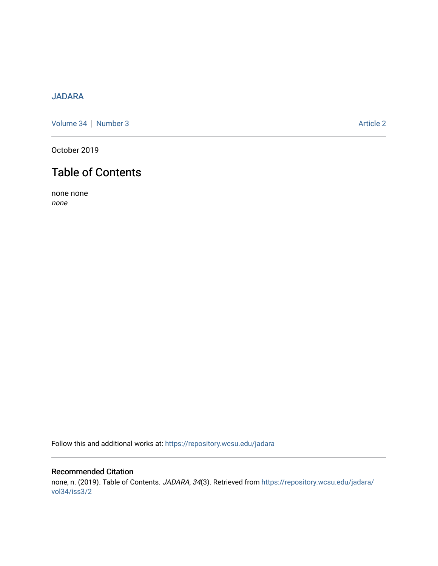## [JADARA](https://repository.wcsu.edu/jadara)

[Volume 34](https://repository.wcsu.edu/jadara/vol34) | [Number 3](https://repository.wcsu.edu/jadara/vol34/iss3) Article 2

October 2019

# Table of Contents

none none none

Follow this and additional works at: [https://repository.wcsu.edu/jadara](https://repository.wcsu.edu/jadara?utm_source=repository.wcsu.edu%2Fjadara%2Fvol34%2Fiss3%2F2&utm_medium=PDF&utm_campaign=PDFCoverPages)

## Recommended Citation none, n. (2019). Table of Contents. JADARA, 34(3). Retrieved from [https://repository.wcsu.edu/jadara/](https://repository.wcsu.edu/jadara/vol34/iss3/2?utm_source=repository.wcsu.edu%2Fjadara%2Fvol34%2Fiss3%2F2&utm_medium=PDF&utm_campaign=PDFCoverPages) [vol34/iss3/2](https://repository.wcsu.edu/jadara/vol34/iss3/2?utm_source=repository.wcsu.edu%2Fjadara%2Fvol34%2Fiss3%2F2&utm_medium=PDF&utm_campaign=PDFCoverPages)